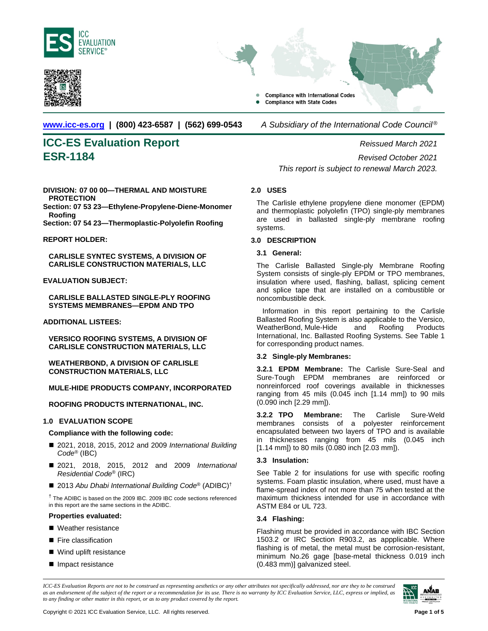



**Compliance with International Codes Compliance with State Codes** 

**[www.icc-es.org](http://www.icc-es.org/) | (800) 423-6587 | (562) 699-0543** *A Subsidiary of the International Code Council* ®

# **ICC-ES Evaluation Report** *Reissued March 2021* **ESR-1184** *Revised October 2021*

**DIVISION: 07 00 00—THERMAL AND MOISTURE PROTECTION**

**Section: 07 53 23—Ethylene-Propylene-Diene-Monomer Roofing**

**Section: 07 54 23—Thermoplastic-Polyolefin Roofing**

#### **REPORT HOLDER:**

**CARLISLE SYNTEC SYSTEMS, A DIVISION OF CARLISLE CONSTRUCTION MATERIALS, LLC**

# **EVALUATION SUBJECT:**

**CARLISLE BALLASTED SINGLE-PLY ROOFING SYSTEMS MEMBRANES—EPDM AND TPO**

# **ADDITIONAL LISTEES:**

**VERSICO ROOFING SYSTEMS, A DIVISION OF CARLISLE CONSTRUCTION MATERIALS, LLC**

**WEATHERBOND, A DIVISION OF CARLISLE CONSTRUCTION MATERIALS, LLC**

# **MULE-HIDE PRODUCTS COMPANY, INCORPORATED**

**ROOFING PRODUCTS INTERNATIONAL, INC.**

# **1.0 EVALUATION SCOPE**

#### **Compliance with the following code:**

- 2021, 2018, 2015, 2012 and 2009 *International Building Code*® (IBC)
- 2021, 2018, 2015, 2012 and 2009 *International Residential Code*® (IRC)
- 2013 Abu Dhabi International Building Code<sup>®</sup> (ADIBC)<sup>†</sup>

† The ADIBC is based on the 2009 IBC. 2009 IBC code sections referenced in this report are the same sections in the ADIBC.

#### **Properties evaluated:**

- Weather resistance
- **Fire classification**
- Wind uplift resistance
- **Impact resistance**

*This report is subject to renewal March 2023.*

# **2.0 USES**

The Carlisle ethylene propylene diene monomer (EPDM) and thermoplastic polyolefin (TPO) single-ply membranes are used in ballasted single-ply membrane roofing systems.

# **3.0 DESCRIPTION**

#### **3.1 General:**

The Carlisle Ballasted Single-ply Membrane Roofing System consists of single-ply EPDM or TPO membranes, insulation where used, flashing, ballast, splicing cement and splice tape that are installed on a combustible or noncombustible deck.

Information in this report pertaining to the Carlisle Ballasted Roofing System is also applicable to the Versico,<br>WeatherBond, Mule-Hide and Roofing Products WeatherBond, Mule-Hide and Roofing Products International, Inc. Ballasted Roofing Systems. See Table 1 for corresponding product names.

# **3.2 Single-ply Membranes:**

**3.2.1 EPDM Membrane:** The Carlisle Sure-Seal and Sure-Tough EPDM membranes are reinforced or nonreinforced roof coverings available in thicknesses ranging from 45 mils (0.045 inch [1.14 mm]) to 90 mils (0.090 inch [2.29 mm]).

**3.2.2 TPO Membrane:** The Carlisle Sure-Weld membranes consists of a polyester reinforcement encapsulated between two layers of TPO and is available in thicknesses ranging from 45 mils (0.045 inch [1.14 mm]) to 80 mils (0.080 inch [2.03 mm]).

# **3.3 Insulation:**

See Table 2 for insulations for use with specific roofing systems. Foam plastic insulation, where used, must have a flame-spread index of not more than 75 when tested at the maximum thickness intended for use in accordance with ASTM E84 or UL 723.

# **3.4 Flashing:**

Flashing must be provided in accordance with IBC Section 1503.2 or IRC Section R903.2, as appplicable. Where flashing is of metal, the metal must be corrosion-resistant, minimum No.26 gage [base-metal thickness 0.019 inch (0.483 mm)] galvanized steel.

*ICC-ES Evaluation Reports are not to be construed as representing aesthetics or any other attributes not specifically addressed, nor are they to be construed as an endorsement of the subject of the report or a recommendation for its use. There is no warranty by ICC Evaluation Service, LLC, express or implied, as to any finding or other matter in this report, or as to any product covered by the report.*

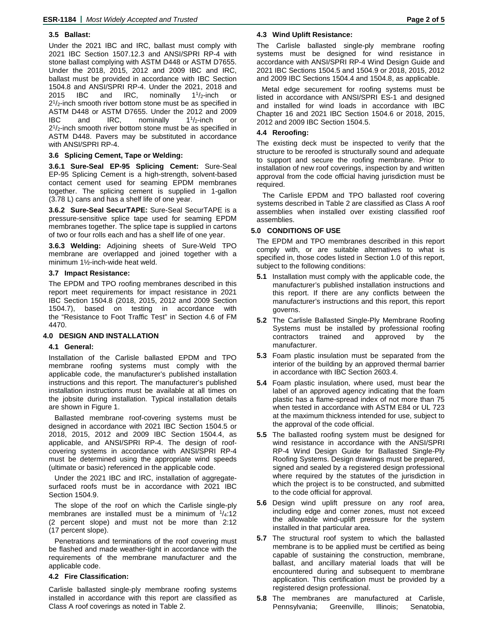#### **3.5 Ballast:**

Under the 2021 IBC and IRC, ballast must comply with 2021 IBC Section 1507.12.3 and ANSI/SPRI RP-4 with stone ballast complying with ASTM D448 or ASTM D7655. Under the 2018, 2015, 2012 and 2009 IBC and IRC, ballast must be provided in accordance with IBC Section 1504.8 and ANSI/SPRI RP-4. Under the 2021, 2018 and 2015 IBC and IRC, nominally  $1^{1}/_{2}$ -inch or  $2<sup>1</sup>/2$ -inch smooth river bottom stone must be as specified in ASTM D448 or ASTM D7655. Under the 2012 and 2009 IBC and IRC, nominally  $1^{1}/2$ -inch or  $2^{1}/2$ -inch smooth river bottom stone must be as specified in ASTM D448. Pavers may be substituted in accordance with ANSI/SPRI RP-4.

#### **3.6 Splicing Cement, Tape or Welding:**

**3.6.1 Sure-Seal EP-95 Splicing Cement:** Sure-Seal EP-95 Splicing Cement is a high-strength, solvent-based contact cement used for seaming EPDM membranes together. The splicing cement is supplied in 1-gallon (3.78 L) cans and has a shelf life of one year.

**3.6.2 Sure-Seal SecurTAPE:** Sure-Seal SecurTAPE is a pressure-sensitive splice tape used for seaming EPDM membranes together. The splice tape is supplied in cartons of two or four rolls each and has a shelf life of one year.

**3.6.3 Welding:** Adjoining sheets of Sure-Weld TPO membrane are overlapped and joined together with a minimum 1½-inch-wide heat weld.

#### **3.7 Impact Resistance:**

The EPDM and TPO roofing membranes described in this report meet requirements for impact resistance in 2021 IBC Section 1504.8 (2018, 2015, 2012 and 2009 Section 1504.7), based on testing in accordance with the "Resistance to Foot Traffic Test" in Section 4.6 of FM 4470.

#### **4.0 DESIGN AND INSTALLATION**

#### **4.1 General:**

Installation of the Carlisle ballasted EPDM and TPO membrane roofing systems must comply with the applicable code, the manufacturer's published installation instructions and this report. The manufacturer's published installation instructions must be available at all times on the jobsite during installation. Typical installation details are shown in Figure 1.

Ballasted membrane roof-covering systems must be designed in accordance with 2021 IBC Section 1504.5 or 2018, 2015, 2012 and 2009 IBC Section 1504.4, as applicable, and ANSI/SPRI RP-4. The design of roofcovering systems in accordance with ANSI/SPRI RP-4 must be determined using the appropriate wind speeds (ultimate or basic) referenced in the applicable code.

Under the 2021 IBC and IRC, installation of aggregatesurfaced roofs must be in accordance with 2021 IBC Section 1504.9.

The slope of the roof on which the Carlisle single-ply membranes are installed must be a minimum of  $\frac{1}{4}$ :12 (2 percent slope) and must not be more than 2:12 (17 percent slope).

Penetrations and terminations of the roof covering must be flashed and made weather-tight in accordance with the requirements of the membrane manufacturer and the applicable code.

#### **4.2 Fire Classification:**

Carlisle ballasted single-ply membrane roofing systems installed in accordance with this report are classified as Class A roof coverings as noted in Table 2.

#### **4.3 Wind Uplift Resistance:**

The Carlisle ballasted single-ply membrane roofing systems must be designed for wind resistance in accordance with ANSI/SPRI RP-4 Wind Design Guide and 2021 IBC Sections 1504.5 and 1504.9 or 2018, 2015, 2012 and 2009 IBC Sections 1504.4 and 1504.8, as applicable.

Metal edge securement for roofing systems must be listed in accordance with ANSI/SPRI ES-1 and designed and installed for wind loads in accordance with IBC Chapter 16 and 2021 IBC Section 1504.6 or 2018, 2015, 2012 and 2009 IBC Section 1504.5.

#### **4.4 Reroofing:**

The existing deck must be inspected to verify that the structure to be reroofed is structurally sound and adequate to support and secure the roofing membrane. Prior to installation of new roof coverings, inspection by and written approval from the code official having jurisdiction must be required.

The Carlisle EPDM and TPO ballasted roof covering systems described in Table 2 are classified as Class A roof assemblies when installed over existing classified roof assemblies.

# **5.0 CONDITIONS OF USE**

The EPDM and TPO membranes described in this report comply with, or are suitable alternatives to what is specified in, those codes listed in Section 1.0 of this report, subject to the following conditions:

- **5.1** Installation must comply with the applicable code, the manufacturer's published installation instructions and this report. If there are any conflicts between the manufacturer's instructions and this report, this report governs.
- **5.2** The Carlisle Ballasted Single-Ply Membrane Roofing Systems must be installed by professional roofing contractors trained and approved by the manufacturer.
- **5.3** Foam plastic insulation must be separated from the interior of the building by an approved thermal barrier in accordance with IBC Section 2603.4.
- **5.4** Foam plastic insulation, where used, must bear the label of an approved agency indicating that the foam plastic has a flame-spread index of not more than 75 when tested in accordance with ASTM E84 or UL 723 at the maximum thickness intended for use, subject to the approval of the code official.
- **5.5** The ballasted roofing system must be designed for wind resistance in accordance with the ANSI/SPRI RP-4 Wind Design Guide for Ballasted Single-Ply Roofing Systems. Design drawings must be prepared, signed and sealed by a registered design professional where required by the statutes of the jurisdiction in which the project is to be constructed, and submitted to the code official for approval.
- **5.6** Design wind uplift pressure on any roof area, including edge and corner zones, must not exceed the allowable wind-uplift pressure for the system installed in that particular area.
- **5.7** The structural roof system to which the ballasted membrane is to be applied must be certified as being capable of sustaining the construction, membrane, ballast, and ancillary material loads that will be encountered during and subsequent to membrane application. This certification must be provided by a registered design professional.
- **5.8** The membranes are manufactured at Carlisle, Pennsylvania; Greenville, Illinois; Senatobia,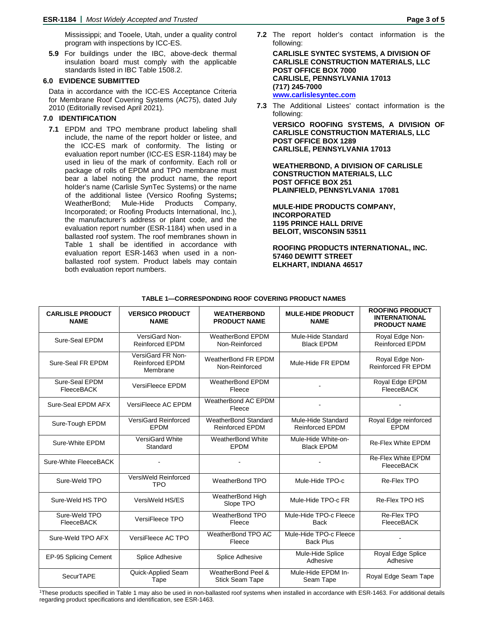Mississippi; and Tooele, Utah, under a quality control program with inspections by ICC-ES.

**5.9** For buildings under the IBC, above-deck thermal insulation board must comply with the applicable standards listed in IBC Table 1508.2.

# **6.0 EVIDENCE SUBMITTED**

Data in accordance with the ICC-ES Acceptance Criteria for Membrane Roof Covering Systems (AC75), dated July 2010 (Editorially revised April 2021).

# **7.0 IDENTIFICATION**

**7.1** EPDM and TPO membrane product labeling shall include, the name of the report holder or listee, and the ICC-ES mark of conformity. The listing or evaluation report number (ICC-ES ESR-1184) may be used in lieu of the mark of conformity. Each roll or package of rolls of EPDM and TPO membrane must bear a label noting the product name, the report holder's name (Carlisle SynTec Systems) or the name of the additional listee (Versico Roofing Systems**;** WeatherBond; Mule-Hide Products Company, Incorporated; or Roofing Products International, Inc.), the manufacturer's address or plant code, and the evaluation report number (ESR-1184) when used in a ballasted roof system. The roof membranes shown in Table 1 shall be identified in accordance with evaluation report ESR-1463 when used in a nonballasted roof system. Product labels may contain both evaluation report numbers.

**7.2** The report holder's contact information is the following:

**CARLISLE SYNTEC SYSTEMS, A DIVISION OF CARLISLE CONSTRUCTION MATERIALS, LLC POST OFFICE BOX 7000 CARLISLE, PENNSYLVANIA 17013 (717) 245-7000 [www.carlislesyntec.com](http://www.carlislesyntec.com/)**

**7.3** The Additional Listees' contact information is the following:

**VERSICO ROOFING SYSTEMS, A DIVISION OF CARLISLE CONSTRUCTION MATERIALS, LLC POST OFFICE BOX 1289 CARLISLE, PENNSYLVANIA 17013**

**WEATHERBOND, A DIVISION OF CARLISLE CONSTRUCTION MATERIALS, LLC POST OFFICE BOX 251 PLAINFIELD, PENNSYLVANIA 17081**

**MULE-HIDE PRODUCTS COMPANY, INCORPORATED 1195 PRINCE HALL DRIVE BELOIT, WISCONSIN 53511**

**ROOFING PRODUCTS INTERNATIONAL, INC. 57460 DEWITT STREET ELKHART, INDIANA 46517**

| <b>CARLISLE PRODUCT</b><br><b>NAME</b>                                       | <b>VERSICO PRODUCT</b><br><b>NAME</b>            | <b>WEATHERBOND</b><br><b>PRODUCT NAME</b>      | <b>MULE-HIDE PRODUCT</b><br><b>NAME</b>      | <b>ROOFING PRODUCT</b><br><b>INTERNATIONAL</b><br><b>PRODUCT NAME</b> |
|------------------------------------------------------------------------------|--------------------------------------------------|------------------------------------------------|----------------------------------------------|-----------------------------------------------------------------------|
| Sure-Seal EPDM                                                               | VersiGard Non-<br><b>Reinforced EPDM</b>         | WeatherBond EPDM<br>Non-Reinforced             | Mule-Hide Standard<br><b>Black EPDM</b>      | Royal Edge Non-<br><b>Reinforced EPDM</b>                             |
| VersiGard FR Non-<br>Sure-Seal FR EPDM<br><b>Reinforced EPDM</b><br>Membrane |                                                  | WeatherBond FR EPDM<br>Non-Reinforced          | Mule-Hide FR EPDM                            | Royal Edge Non-<br><b>Reinforced FR EPDM</b>                          |
| Sure-Seal EPDM<br>FleeceBACK                                                 | VersiFleece EPDM                                 | <b>WeatherBond EPDM</b><br>Fleece              |                                              | Royal Edge EPDM<br>FleeceBACK                                         |
| Sure-Seal EPDM AFX                                                           | VersiFleece AC EPDM                              | WeatherBond AC EPDM<br>Fleece                  | $\blacksquare$                               | $\overline{a}$                                                        |
| Sure-Tough EPDM                                                              | VersiGard Reinforced<br><b>EPDM</b>              | WeatherBond Standard<br><b>Reinforced EPDM</b> | Mule-Hide Standard<br><b>Reinforced EPDM</b> | Royal Edge reinforced<br><b>EPDM</b>                                  |
| Sure-White EPDM                                                              | VersiGard White<br>Standard                      | WeatherBond White<br><b>EPDM</b>               | Mule-Hide White-on-<br><b>Black EPDM</b>     | <b>Re-Flex White EPDM</b>                                             |
| Sure-White FleeceBACK                                                        |                                                  |                                                |                                              | <b>Re-Flex White EPDM</b><br><b>FleeceBACK</b>                        |
| Sure-Weld TPO                                                                | VersiWeld Reinforced<br><b>TPO</b>               | WeatherBond TPO                                | Mule-Hide TPO-c                              | Re-Flex TPO                                                           |
| Sure-Weld HS TPO                                                             | WeatherBond High<br>VersiWeld HS/ES<br>Slope TPO |                                                | Mule-Hide TPO-c FR                           | Re-Flex TPO HS                                                        |
| Sure-Weld TPO<br><b>FleeceBACK</b>                                           | VersiFleece TPO                                  | WeatherBond TPO<br>Fleece                      | Mule-Hide TPO-c Fleece<br><b>Back</b>        | Re-Flex TPO<br><b>FleeceBACK</b>                                      |
| Sure-Weld TPO AFX                                                            | VersiFleece AC TPO                               | WeatherBond TPO AC<br>Fleece                   | Mule-Hide TPO-c Fleece<br><b>Back Plus</b>   | $\blacksquare$                                                        |
| EP-95 Splicing Cement                                                        | <b>Splice Adhesive</b>                           | Splice Adhesive                                | Mule-Hide Splice<br>Adhesive                 | Royal Edge Splice<br>Adhesive                                         |
| SecurTAPE                                                                    | Quick-Applied Seam<br>Tape                       | WeatherBond Peel &<br><b>Stick Seam Tape</b>   | Mule-Hide EPDM In-<br>Seam Tape              | Royal Edge Seam Tape                                                  |

#### **TABLE 1—CORRESPONDING ROOF COVERING PRODUCT NAMES**

1These products specified in Table 1 may also be used in non-ballasted roof systems when installed in accordance with ESR-1463. For additional details regarding product specifications and identification, see ESR-1463.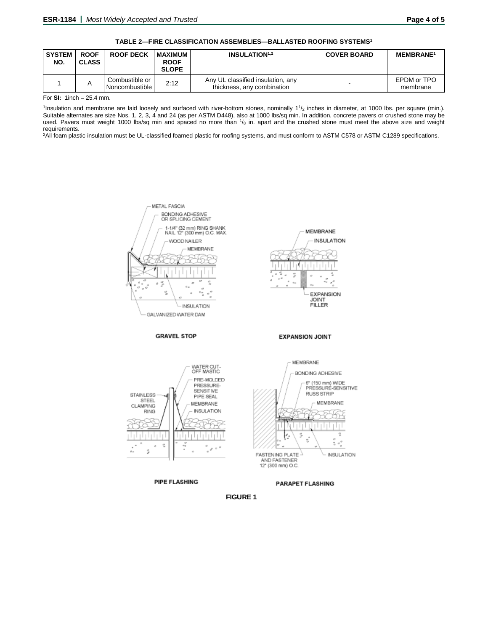#### **TABLE 2—FIRE CLASSIFICATION ASSEMBLIES—BALLASTED ROOFING SYSTEMS1**

| <b>SYSTEM</b><br>NO. | <b>ROOF</b><br><b>CLASS</b> | <b>ROOF DECK</b>                 | <b>I MAXIMUM</b><br><b>ROOF</b><br><b>SLOPE</b> | <b>INSULATION</b> <sup>1,2</sup>                                | <b>COVER BOARD</b> | <b>MEMBRANE<sup>1</sup></b> |
|----------------------|-----------------------------|----------------------------------|-------------------------------------------------|-----------------------------------------------------------------|--------------------|-----------------------------|
|                      | A                           | Combustible or<br>Noncombustible | 2:12                                            | Any UL classified insulation, any<br>thickness, any combination |                    | EPDM or TPO<br>membrane     |

For **SI:** 1inch = 25.4 mm.

<sup>1</sup>Insulation and membrane are laid loosely and surfaced with river-bottom stones, nominally 1<sup>1</sup>/<sub>2</sub> inches in diameter, at 1000 lbs. per square (min.). Suitable alternates are size Nos. 1, 2, 3, 4 and 24 (as per ASTM D448), also at 1000 lbs/sq min. In addition, concrete pavers or crushed stone may be used. Pavers must weight 1000 lbs/sq min and spaced no more than 1/8 in. apart and the crushed stone must meet the above size and weight requirements.

2All foam plastic insulation must be UL-classified foamed plastic for roofing systems, and must conform to ASTM C578 or ASTM C1289 specifications.